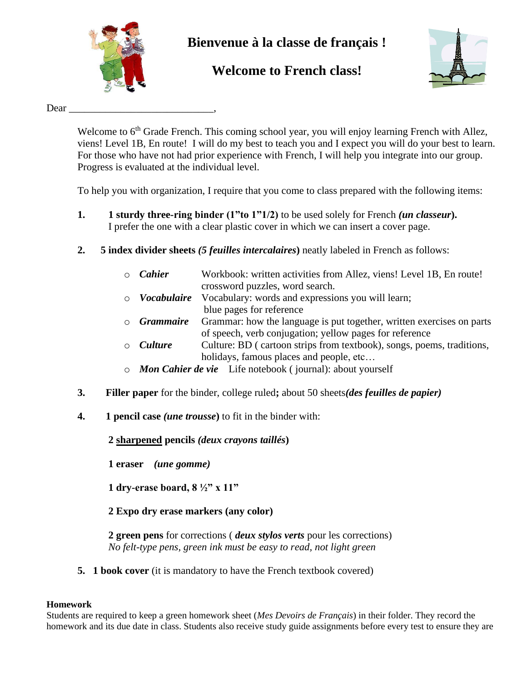

# **Bienvenue à la classe de français !**

# **Welcome to French class!**



## Dear

Welcome to 6<sup>th</sup> Grade French. This coming school year, you will enjoy learning French with Allez, viens! Level 1B, En route! I will do my best to teach you and I expect you will do your best to learn. For those who have not had prior experience with French, I will help you integrate into our group. Progress is evaluated at the individual level.

To help you with organization, I require that you come to class prepared with the following items:

- **1. 1 sturdy three-ring binder (1"to 1"1/2)** to be used solely for French *(un classeur***).**  I prefer the one with a clear plastic cover in which we can insert a cover page.
- **2. 5 index divider sheets** *(5 feuilles intercalaires***)** neatly labeled in French as follows:
	- o *Cahier* Workbook: written activities from Allez, viens! Level 1B, En route! crossword puzzles, word search.
	- o *Vocabulaire* Vocabulary: words and expressions you will learn; blue pages for reference
	- o *Grammaire* Grammar: how the language is put together, written exercises on parts of speech, verb conjugation; yellow pages for reference
	- o *Culture* Culture: BD ( cartoon strips from textbook), songs, poems, traditions, holidays, famous places and people, etc...
	- o *Mon Cahier de vie* Life notebook ( journal): about yourself
- **3. Filler paper** for the binder, college ruled**;** about 50 sheets*(des feuilles de papier)*
- **4. 1 pencil case** *(une trousse***)** to fit in the binder with:

**2 sharpened pencils** *(deux crayons taillés***)**

**1 eraser** *(une gomme)*

**1 dry-erase board, 8 ½" x 11"**

**2 Expo dry erase markers (any color)**

**2 green pens** for corrections ( *deux stylos verts* pour les corrections) *No felt-type pens, green ink must be easy to read, not light green*

**5. 1 book cover** (it is mandatory to have the French textbook covered)

# **Homework**

Students are required to keep a green homework sheet (*Mes Devoirs de Français*) in their folder. They record the homework and its due date in class. Students also receive study guide assignments before every test to ensure they are